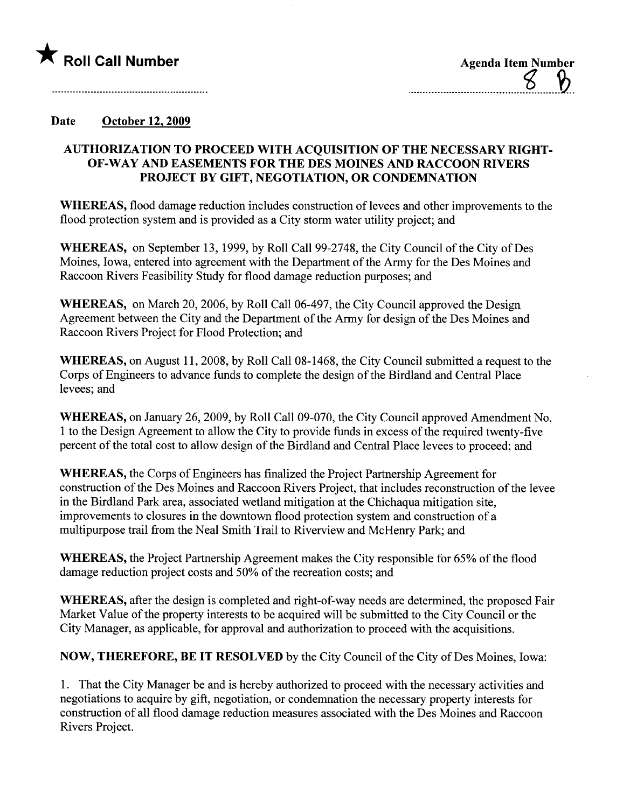

| <b>Agenda Item Number</b> |  |  |
|---------------------------|--|--|
|                           |  |  |
|                           |  |  |

## Date October 12, 2009

## AUTHORIZATION TO PROCEED WITH ACQUISITION OF THE NECESSARY RIGHT-OF - WAY AND EASEMENTS FOR THE DES MOINES AND RACCOON RIVERS PROJECT BY GIFT, NEGOTIATION, OR CONDEMNATION

WHEREAS, flood damage reduction includes construction of levees and other improvements to the flood protection system and is provided as a City storm water utility project; and

WHEREAS, on September 13, 1999, by Roll Call 99-2748, the City Council of the City of Des Moines, Iowa, entered into agreement with the Department of the Army for the Des Moines and Raccoon Rivers Feasibility Study for flood damage reduction purposes; and

WHEREAS, on March 20, 2006, by Roll Call 06-497, the City Council approved the Design Agreement between the City and the Department of the Army for design of the Des Moines and Raccoon Rivers Project for Flood Protection; and

WHEREAS, on August 11, 2008, by Roll Call 08-1468, the City Council submitted a request to the Corps of Engineers to advance funds to complete the design of the Birdland and Central Place levees; and

WHEREAS, on January 26, 2009, by Roll Call 09-070, the City Council approved Amendment No. 1 to the Design Agreement to allow the City to provide funds in excess of the required twenty-five percent of the total cost to allow design of the Birdland and Central Place levees to proceed; and

WHEREAS, the Corps of Engineers has finalized the Project Partnership Agreement for construction of the Des Moines and Raccoon Rivers Project, that includes reconstruction of the levee in the Birdland Park area, associated wetland mitigation at the Chichaqua mitigation site, improvements to closures in the downtown flood protection system and construction of a multipurose trail from the Neal Smith Trail to Riverview and McHenry Park; and

WHEREAS, the Project Partnership Agreement makes the City responsible for 65% of the flood damage reduction project costs and 50% of the recreation costs; and

WHEREAS, after the design is completed and right-of-way needs are determined, the proposed Fair Market Value of the property interests to be acquired will be submitted to the City Council or the City Manager, as applicable, for approval and authorization to proceed with the acquisitions.

NOW, THEREFORE, BE IT RESOLVED by the City Council of the City of Des Moines, Iowa:

1. That the City Manager be and is hereby authorized to proceed with the necessary activities and negotiations to acquire by gift, negotiation, or condemnation the necessary property interests for construction of all flood damage reduction measures associated with the Des Moines and Raccoon Rivers Project.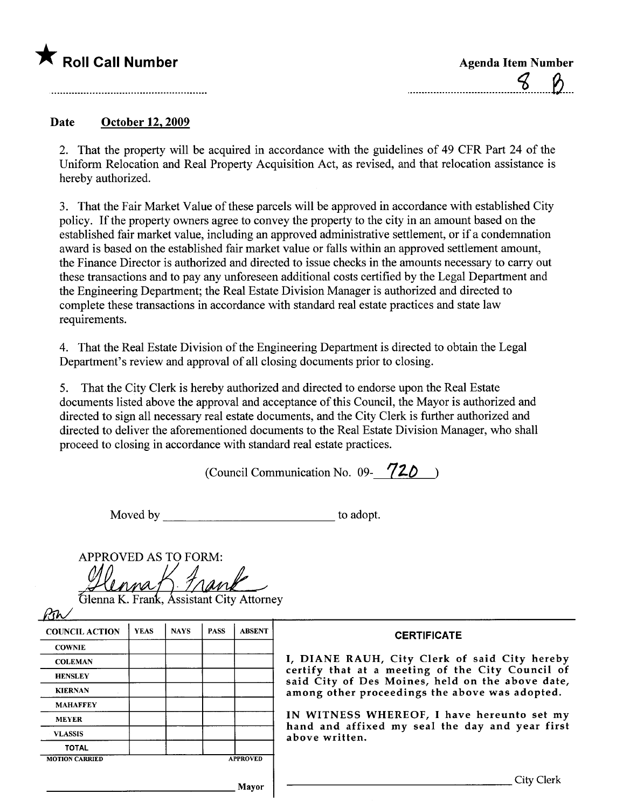

| <b>Agenda Item Number</b> |  |  |
|---------------------------|--|--|
|                           |  |  |

## Date October 12. 2009

2. That the property will be acquired in accordance with the guidelines of 49 CFR Part 24 of the Uniform Relocation and Real Property Acquisition Act, as revised, and that relocation assistance is hereby authorized.

3. That the Fair Market Value of these parcels will be approved in accordance with established City policy. If the property owners agree to convey the property to the city in an amount based on the established fair market value, including an approved administrative settlement, or if a condemnation award is based on the established fair market value or falls within an approved settlement amount, the Finance Director is authorized and directed to issue checks in the amounts necessary to carry out these transactions and to pay any unforeseen additional costs certified by the Legal Department and the Engineering Department; the Real Estate Division Manager is authorized and directed to complete these transactions in accordance with standard real estate practices and state law requirements.

4. That the Real Estate Division of the Engineering Department is directed to obtain the Legal Department's review and approval of all closing documents prior to closing.

5. That the City Clerk is hereby authorized and directed to endorse upon the Real Estate documents listed above the approval and acceptance of this Council, the Mayor is authorized and directed to sign all necessary real estate documents, and the City Clerk is further authorized and directed to deliver the aforementioned documents to the Real Estate Division Manager, who shall proceed to closing in accordance with standard real estate practices.

(Council Communication No. 09-  $720$ )

Moved by to adopt.

| <b>APPROVED AS TO FORM:</b>              |
|------------------------------------------|
|                                          |
| mnat<br>Frank                            |
| Glenna K. Frank, Assistant City Attorney |
|                                          |

| <b>COUNCIL ACTION</b> | <b>YEAS</b> | <b>NAYS</b> | <b>PASS</b> | <b>ABSENT</b>   | <b>CERTIFICATE</b>                                                                                                                                    |
|-----------------------|-------------|-------------|-------------|-----------------|-------------------------------------------------------------------------------------------------------------------------------------------------------|
| <b>COWNIE</b>         |             |             |             |                 |                                                                                                                                                       |
| <b>COLEMAN</b>        |             |             |             |                 | I, DIANE RAUH, City Clerk of said City hereby<br>certify that at a meeting of the City Council of<br>said City of Des Moines, held on the above date, |
| <b>HENSLEY</b>        |             |             |             |                 |                                                                                                                                                       |
| <b>KIERNAN</b>        |             |             |             |                 | among other proceedings the above was adopted.                                                                                                        |
| <b>MAHAFFEY</b>       |             |             |             |                 |                                                                                                                                                       |
| <b>MEYER</b>          |             |             |             |                 | IN WITNESS WHEREOF, I have hereunto set my                                                                                                            |
| <b>VLASSIS</b>        |             |             |             |                 | hand and affixed my seal the day and year first<br>above written.                                                                                     |
| <b>TOTAL</b>          |             |             |             |                 |                                                                                                                                                       |
| <b>MOTION CARRIED</b> |             |             |             | <b>APPROVED</b> |                                                                                                                                                       |
|                       |             |             |             | Mayor           | City (                                                                                                                                                |